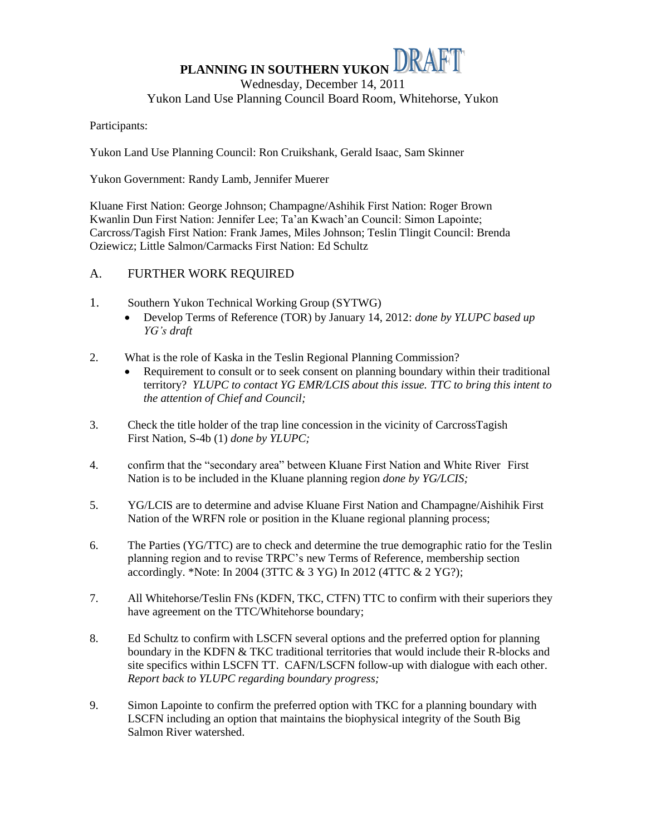# PLANNING IN SOUTHERN YUKON DRAFT Wednesday, December 14, 2011 Yukon Land Use Planning Council Board Room, Whitehorse, Yukon

### Participants:

Yukon Land Use Planning Council: Ron Cruikshank, Gerald Isaac, Sam Skinner

Yukon Government: Randy Lamb, Jennifer Muerer

Kluane First Nation: George Johnson; Champagne/Ashihik First Nation: Roger Brown Kwanlin Dun First Nation: Jennifer Lee; Ta'an Kwach'an Council: Simon Lapointe; Carcross/Tagish First Nation: Frank James, Miles Johnson; Teslin Tlingit Council: Brenda Oziewicz; Little Salmon/Carmacks First Nation: Ed Schultz

# A. FURTHER WORK REQUIRED

- 1. Southern Yukon Technical Working Group (SYTWG)
	- Develop Terms of Reference (TOR) by January 14, 2012: *done by YLUPC based up YG's draft*
- 2. What is the role of Kaska in the Teslin Regional Planning Commission?
	- Requirement to consult or to seek consent on planning boundary within their traditional territory? *YLUPC to contact YG EMR/LCIS about this issue. TTC to bring this intent to the attention of Chief and Council;*
- 3. Check the title holder of the trap line concession in the vicinity of CarcrossTagish First Nation, S-4b (1) *done by YLUPC;*
- 4. confirm that the "secondary area" between Kluane First Nation and White River First Nation is to be included in the Kluane planning region *done by YG/LCIS;*
- 5. YG/LCIS are to determine and advise Kluane First Nation and Champagne/Aishihik First Nation of the WRFN role or position in the Kluane regional planning process;
- 6. The Parties (YG/TTC) are to check and determine the true demographic ratio for the Teslin planning region and to revise TRPC's new Terms of Reference, membership section accordingly. \*Note: In 2004 (3TTC & 3 YG) In 2012 (4TTC & 2 YG?);
- 7. All Whitehorse/Teslin FNs (KDFN, TKC, CTFN) TTC to confirm with their superiors they have agreement on the TTC/Whitehorse boundary;
- 8. Ed Schultz to confirm with LSCFN several options and the preferred option for planning boundary in the KDFN & TKC traditional territories that would include their R-blocks and site specifics within LSCFN TT. CAFN/LSCFN follow-up with dialogue with each other. *Report back to YLUPC regarding boundary progress;*
- 9. Simon Lapointe to confirm the preferred option with TKC for a planning boundary with LSCFN including an option that maintains the biophysical integrity of the South Big Salmon River watershed.